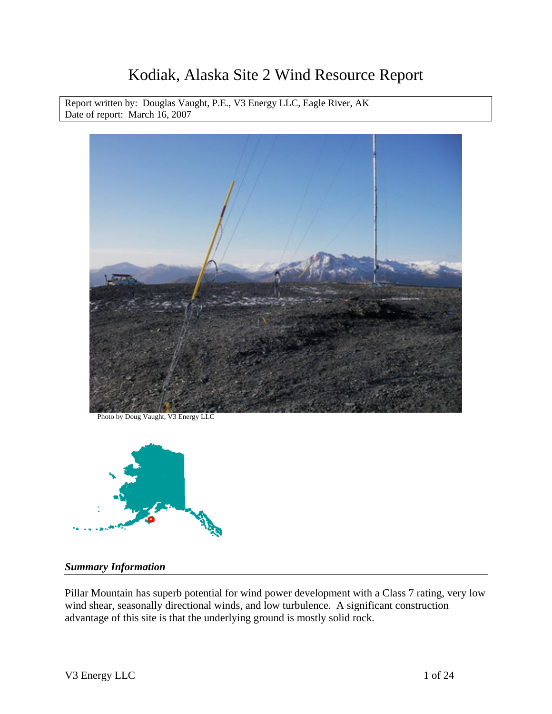# Kodiak, Alaska Site 2 Wind Resource Report

Report written by: Douglas Vaught, P.E., V3 Energy LLC, Eagle River, AK Date of report: March 16, 2007



Photo by Doug Vaught, V3 Energy LLC



#### *Summary Information*

Pillar Mountain has superb potential for wind power development with a Class 7 rating, very low wind shear, seasonally directional winds, and low turbulence. A significant construction advantage of this site is that the underlying ground is mostly solid rock.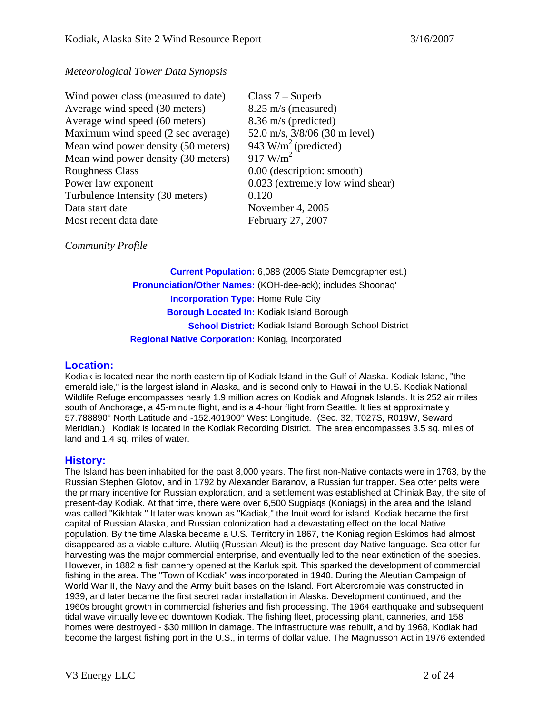#### *Meteorological Tower Data Synopsis*

| Class $7 -$ Superb               |
|----------------------------------|
| 8.25 m/s (measured)              |
| 8.36 m/s (predicted)             |
| 52.0 m/s, 3/8/06 (30 m level)    |
| 943 W/m <sup>2</sup> (predicted) |
| $917 \text{ W/m}^2$              |
| 0.00 (description: smooth)       |
| 0.023 (extremely low wind shear) |
| 0.120                            |
| November 4, 2005                 |
| February 27, 2007                |
|                                  |

*Community Profile* 

**Current Population:** 6,088 (2005 State Demographer est.) **Pronunciation/Other Names:** (KOH-dee-ack); includes Shoonaq' **Incorporation Type:** Home Rule City **Borough Located In:** Kodiak Island Borough **School District:** Kodiak Island Borough School District **Regional Native Corporation:** Koniag, Incorporated

#### **Location:**

Kodiak is located near the north eastern tip of Kodiak Island in the Gulf of Alaska. Kodiak Island, "the emerald isle," is the largest island in Alaska, and is second only to Hawaii in the U.S. Kodiak National Wildlife Refuge encompasses nearly 1.9 million acres on Kodiak and Afognak Islands. It is 252 air miles south of Anchorage, a 45-minute flight, and is a 4-hour flight from Seattle. It lies at approximately 57.788890° North Latitude and -152.401900° West Longitude. (Sec. 32, T027S, R019W, Seward Meridian.) Kodiak is located in the Kodiak Recording District. The area encompasses 3.5 sq. miles of land and 1.4 sq. miles of water.

#### **History:**

The Island has been inhabited for the past 8,000 years. The first non-Native contacts were in 1763, by the Russian Stephen Glotov, and in 1792 by Alexander Baranov, a Russian fur trapper. Sea otter pelts were the primary incentive for Russian exploration, and a settlement was established at Chiniak Bay, the site of present-day Kodiak. At that time, there were over 6,500 Sugpiaqs (Koniags) in the area and the Island was called "Kikhtak." It later was known as "Kadiak," the Inuit word for island. Kodiak became the first capital of Russian Alaska, and Russian colonization had a devastating effect on the local Native population. By the time Alaska became a U.S. Territory in 1867, the Koniag region Eskimos had almost disappeared as a viable culture. Alutiiq (Russian-Aleut) is the present-day Native language. Sea otter fur harvesting was the major commercial enterprise, and eventually led to the near extinction of the species. However, in 1882 a fish cannery opened at the Karluk spit. This sparked the development of commercial fishing in the area. The "Town of Kodiak" was incorporated in 1940. During the Aleutian Campaign of World War II, the Navy and the Army built bases on the Island. Fort Abercrombie was constructed in 1939, and later became the first secret radar installation in Alaska. Development continued, and the 1960s brought growth in commercial fisheries and fish processing. The 1964 earthquake and subsequent tidal wave virtually leveled downtown Kodiak. The fishing fleet, processing plant, canneries, and 158 homes were destroyed - \$30 million in damage. The infrastructure was rebuilt, and by 1968, Kodiak had become the largest fishing port in the U.S., in terms of dollar value. The Magnusson Act in 1976 extended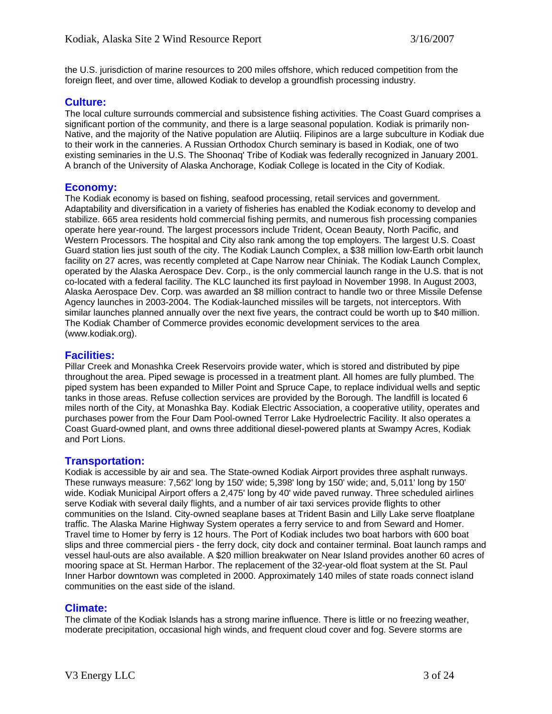the U.S. jurisdiction of marine resources to 200 miles offshore, which reduced competition from the foreign fleet, and over time, allowed Kodiak to develop a groundfish processing industry.

#### **Culture:**

The local culture surrounds commercial and subsistence fishing activities. The Coast Guard comprises a significant portion of the community, and there is a large seasonal population. Kodiak is primarily non-Native, and the majority of the Native population are Alutiiq. Filipinos are a large subculture in Kodiak due to their work in the canneries. A Russian Orthodox Church seminary is based in Kodiak, one of two existing seminaries in the U.S. The Shoonaq' Tribe of Kodiak was federally recognized in January 2001. A branch of the University of Alaska Anchorage, Kodiak College is located in the City of Kodiak.

#### **Economy:**

The Kodiak economy is based on fishing, seafood processing, retail services and government. Adaptability and diversification in a variety of fisheries has enabled the Kodiak economy to develop and stabilize. 665 area residents hold commercial fishing permits, and numerous fish processing companies operate here year-round. The largest processors include Trident, Ocean Beauty, North Pacific, and Western Processors. The hospital and City also rank among the top employers. The largest U.S. Coast Guard station lies just south of the city. The Kodiak Launch Complex, a \$38 million low-Earth orbit launch facility on 27 acres, was recently completed at Cape Narrow near Chiniak. The Kodiak Launch Complex, operated by the Alaska Aerospace Dev. Corp., is the only commercial launch range in the U.S. that is not co-located with a federal facility. The KLC launched its first payload in November 1998. In August 2003, Alaska Aerospace Dev. Corp. was awarded an \$8 million contract to handle two or three Missile Defense Agency launches in 2003-2004. The Kodiak-launched missiles will be targets, not interceptors. With similar launches planned annually over the next five years, the contract could be worth up to \$40 million. The Kodiak Chamber of Commerce provides economic development services to the area (www.kodiak.org).

#### **Facilities:**

Pillar Creek and Monashka Creek Reservoirs provide water, which is stored and distributed by pipe throughout the area. Piped sewage is processed in a treatment plant. All homes are fully plumbed. The piped system has been expanded to Miller Point and Spruce Cape, to replace individual wells and septic tanks in those areas. Refuse collection services are provided by the Borough. The landfill is located 6 miles north of the City, at Monashka Bay. Kodiak Electric Association, a cooperative utility, operates and purchases power from the Four Dam Pool-owned Terror Lake Hydroelectric Facility. It also operates a Coast Guard-owned plant, and owns three additional diesel-powered plants at Swampy Acres, Kodiak and Port Lions.

#### **Transportation:**

Kodiak is accessible by air and sea. The State-owned Kodiak Airport provides three asphalt runways. These runways measure: 7,562' long by 150' wide; 5,398' long by 150' wide; and, 5,011' long by 150' wide. Kodiak Municipal Airport offers a 2,475' long by 40' wide paved runway. Three scheduled airlines serve Kodiak with several daily flights, and a number of air taxi services provide flights to other communities on the Island. City-owned seaplane bases at Trident Basin and Lilly Lake serve floatplane traffic. The Alaska Marine Highway System operates a ferry service to and from Seward and Homer. Travel time to Homer by ferry is 12 hours. The Port of Kodiak includes two boat harbors with 600 boat slips and three commercial piers - the ferry dock, city dock and container terminal. Boat launch ramps and vessel haul-outs are also available. A \$20 million breakwater on Near Island provides another 60 acres of mooring space at St. Herman Harbor. The replacement of the 32-year-old float system at the St. Paul Inner Harbor downtown was completed in 2000. Approximately 140 miles of state roads connect island communities on the east side of the island.

#### **Climate:**

The climate of the Kodiak Islands has a strong marine influence. There is little or no freezing weather, moderate precipitation, occasional high winds, and frequent cloud cover and fog. Severe storms are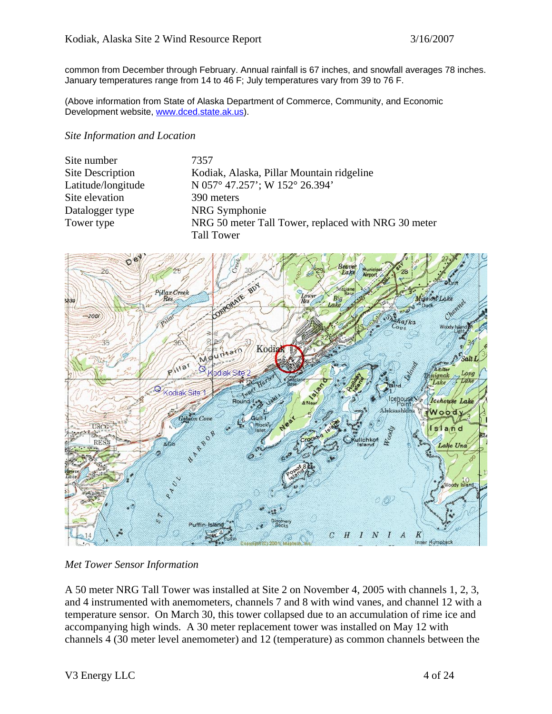common from December through February. Annual rainfall is 67 inches, and snowfall averages 78 inches. January temperatures range from 14 to 46 F; July temperatures vary from 39 to 76 F.

(Above information from State of Alaska Department of Commerce, Community, and Economic Development website, [www.dced.state.ak.us](http://www.dced.state.ak.us/)).

#### *Site Information and Location*

| Site number             | 7357                                                |
|-------------------------|-----------------------------------------------------|
| <b>Site Description</b> | Kodiak, Alaska, Pillar Mountain ridgeline           |
| Latitude/longitude      | N 057° 47.257'; W 152° 26.394'                      |
| Site elevation          | 390 meters                                          |
| Datalogger type         | NRG Symphonie                                       |
| Tower type              | NRG 50 meter Tall Tower, replaced with NRG 30 meter |
|                         | <b>Tall Tower</b>                                   |



*Met Tower Sensor Information* 

A 50 meter NRG Tall Tower was installed at Site 2 on November 4, 2005 with channels 1, 2, 3, and 4 instrumented with anemometers, channels 7 and 8 with wind vanes, and channel 12 with a temperature sensor. On March 30, this tower collapsed due to an accumulation of rime ice and accompanying high winds. A 30 meter replacement tower was installed on May 12 with channels 4 (30 meter level anemometer) and 12 (temperature) as common channels between the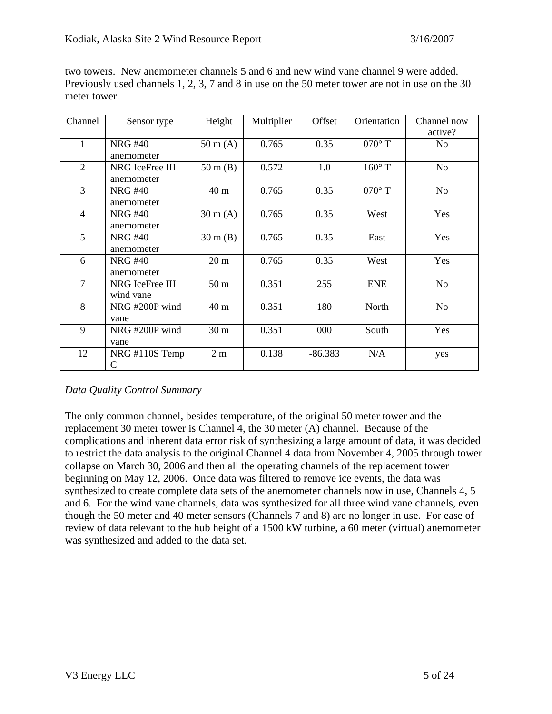| Channel        | Sensor type      | Height             | Multiplier | Offset    | Orientation   | Channel now    |
|----------------|------------------|--------------------|------------|-----------|---------------|----------------|
|                |                  |                    |            |           |               | active?        |
| 1              | <b>NRG#40</b>    | $50 \text{ m}$ (A) | 0.765      | 0.35      | $070^\circ$ T | N <sub>o</sub> |
|                | anemometer       |                    |            |           |               |                |
| $\overline{2}$ | NRG IceFree III  | $50 \text{ m}$ (B) | 0.572      | 1.0       | $160^\circ$ T | N <sub>o</sub> |
|                | anemometer       |                    |            |           |               |                |
| 3              | <b>NRG#40</b>    | 40 m               | 0.765      | 0.35      | $070^\circ$ T | N <sub>o</sub> |
|                | anemometer       |                    |            |           |               |                |
| $\overline{4}$ | <b>NRG#40</b>    | $30 \text{ m}$ (A) | 0.765      | 0.35      | West          | Yes            |
|                | anemometer       |                    |            |           |               |                |
| 5              | <b>NRG#40</b>    | $30 \text{ m}$ (B) | 0.765      | 0.35      | East          | Yes            |
|                | anemometer       |                    |            |           |               |                |
| 6              | <b>NRG#40</b>    | 20 <sub>m</sub>    | 0.765      | 0.35      | West          | Yes            |
|                | anemometer       |                    |            |           |               |                |
| $\overline{7}$ | NRG IceFree III  | 50 <sub>m</sub>    | 0.351      | 255       | <b>ENE</b>    | N <sub>o</sub> |
|                | wind vane        |                    |            |           |               |                |
| 8              | NRG#200P wind    | 40 m               | 0.351      | 180       | North         | N <sub>o</sub> |
|                | vane             |                    |            |           |               |                |
| 9              | NRG#200P wind    | 30 <sub>m</sub>    | 0.351      | 000       | South         | Yes            |
|                | vane             |                    |            |           |               |                |
| 12             | $NRG$ #110S Temp | 2m                 | 0.138      | $-86.383$ | N/A           | yes            |
|                | C                |                    |            |           |               |                |

two towers. New anemometer channels 5 and 6 and new wind vane channel 9 were added. Previously used channels 1, 2, 3, 7 and 8 in use on the 50 meter tower are not in use on the 30 meter tower.

#### *Data Quality Control Summary*

The only common channel, besides temperature, of the original 50 meter tower and the replacement 30 meter tower is Channel 4, the 30 meter (A) channel. Because of the complications and inherent data error risk of synthesizing a large amount of data, it was decided to restrict the data analysis to the original Channel 4 data from November 4, 2005 through tower collapse on March 30, 2006 and then all the operating channels of the replacement tower beginning on May 12, 2006. Once data was filtered to remove ice events, the data was synthesized to create complete data sets of the anemometer channels now in use, Channels 4, 5 and 6. For the wind vane channels, data was synthesized for all three wind vane channels, even though the 50 meter and 40 meter sensors (Channels 7 and 8) are no longer in use. For ease of review of data relevant to the hub height of a 1500 kW turbine, a 60 meter (virtual) anemometer was synthesized and added to the data set.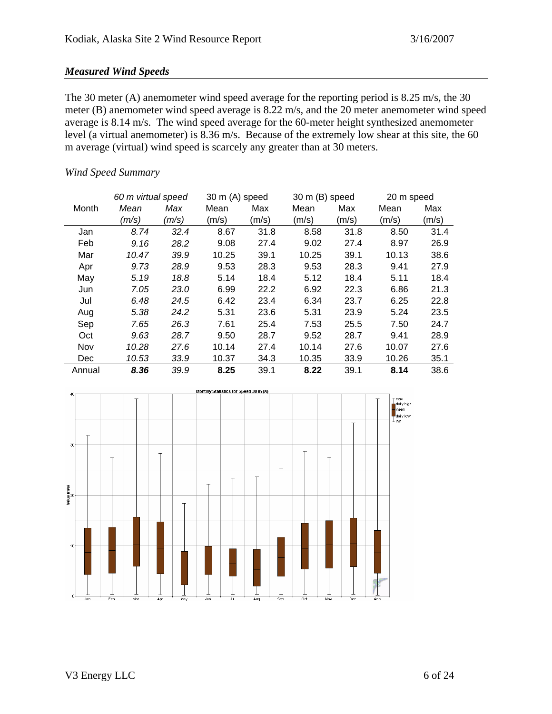#### *Measured Wind Speeds*

The 30 meter (A) anemometer wind speed average for the reporting period is 8.25 m/s, the 30 meter (B) anemometer wind speed average is 8.22 m/s, and the 20 meter anemometer wind speed average is 8.14 m/s. The wind speed average for the 60-meter height synthesized anemometer level (a virtual anemometer) is 8.36 m/s. Because of the extremely low shear at this site, the 60 m average (virtual) wind speed is scarcely any greater than at 30 meters.

#### *Wind Speed Summary*

|        | 60 m virtual speed |       | 30 m (A) speed |       | 30 m (B) speed |       | 20 m speed |       |
|--------|--------------------|-------|----------------|-------|----------------|-------|------------|-------|
| Month  | Mean               | Max   | Mean           | Max   | Mean           | Max   | Mean       | Max   |
|        | (m/s)              | (m/s) | (m/s)          | (m/s) | (m/s)          | (m/s) | (m/s)      | (m/s) |
| Jan    | 8.74               | 32.4  | 8.67           | 31.8  | 8.58           | 31.8  | 8.50       | 31.4  |
| Feb    | 9.16               | 28.2  | 9.08           | 27.4  | 9.02           | 27.4  | 8.97       | 26.9  |
| Mar    | 10.47              | 39.9  | 10.25          | 39.1  | 10.25          | 39.1  | 10.13      | 38.6  |
| Apr    | 9.73               | 28.9  | 9.53           | 28.3  | 9.53           | 28.3  | 9.41       | 27.9  |
| May    | 5.19               | 18.8  | 5.14           | 18.4  | 5.12           | 18.4  | 5.11       | 18.4  |
| Jun    | 7.05               | 23.0  | 6.99           | 22.2  | 6.92           | 22.3  | 6.86       | 21.3  |
| Jul    | 6.48               | 24.5  | 6.42           | 23.4  | 6.34           | 23.7  | 6.25       | 22.8  |
| Aug    | 5.38               | 24.2  | 5.31           | 23.6  | 5.31           | 23.9  | 5.24       | 23.5  |
| Sep    | 7.65               | 26.3  | 7.61           | 25.4  | 7.53           | 25.5  | 7.50       | 24.7  |
| Oct    | 9.63               | 28.7  | 9.50           | 28.7  | 9.52           | 28.7  | 9.41       | 28.9  |
| Nov    | 10.28              | 27.6  | 10.14          | 27.4  | 10.14          | 27.6  | 10.07      | 27.6  |
| Dec    | 10.53              | 33.9  | 10.37          | 34.3  | 10.35          | 33.9  | 10.26      | 35.1  |
| Annual | 8.36               | 39.9  | 8.25           | 39.1  | 8.22           | 39.1  | 8.14       | 38.6  |

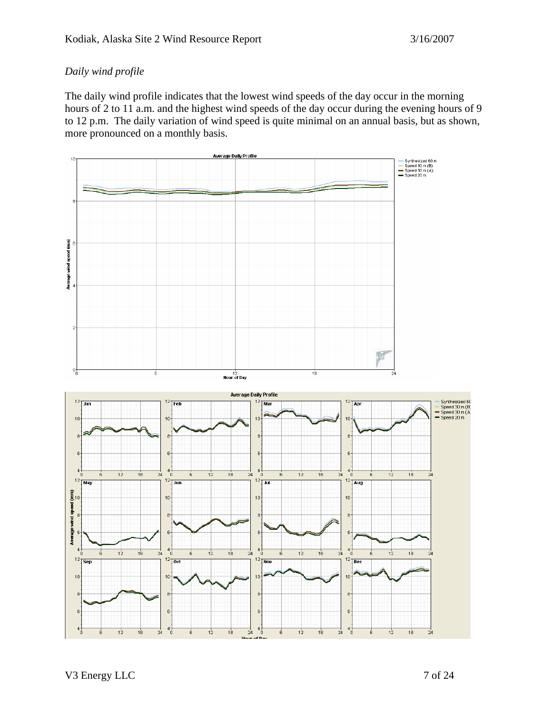### *Daily wind profile*

The daily wind profile indicates that the lowest wind speeds of the day occur in the morning hours of 2 to 11 a.m. and the highest wind speeds of the day occur during the evening hours of 9 to 12 p.m. The daily variation of wind speed is quite minimal on an annual basis, but as shown, more pronounced on a monthly basis.

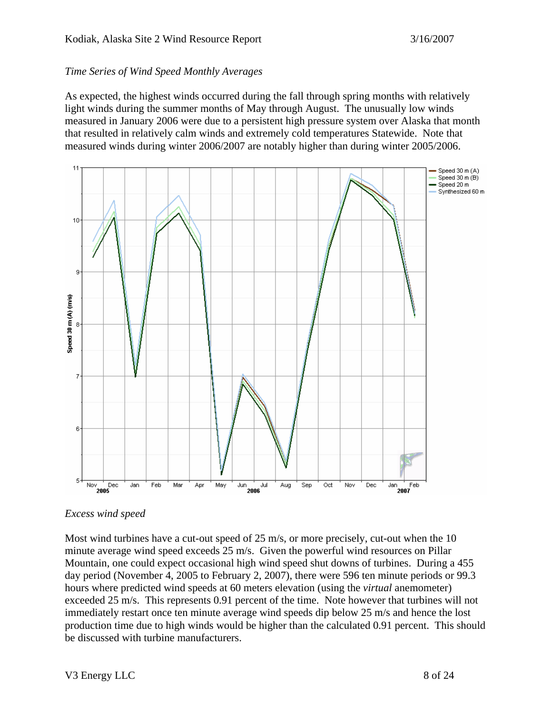#### *Time Series of Wind Speed Monthly Averages*

As expected, the highest winds occurred during the fall through spring months with relatively light winds during the summer months of May through August. The unusually low winds measured in January 2006 were due to a persistent high pressure system over Alaska that month that resulted in relatively calm winds and extremely cold temperatures Statewide. Note that measured winds during winter 2006/2007 are notably higher than during winter 2005/2006.



#### *Excess wind speed*

Most wind turbines have a cut-out speed of 25 m/s, or more precisely, cut-out when the 10 minute average wind speed exceeds 25 m/s. Given the powerful wind resources on Pillar Mountain, one could expect occasional high wind speed shut downs of turbines. During a 455 day period (November 4, 2005 to February 2, 2007), there were 596 ten minute periods or 99.3 hours where predicted wind speeds at 60 meters elevation (using the *virtual* anemometer) exceeded 25 m/s. This represents 0.91 percent of the time. Note however that turbines will not immediately restart once ten minute average wind speeds dip below 25 m/s and hence the lost production time due to high winds would be higher than the calculated 0.91 percent. This should be discussed with turbine manufacturers.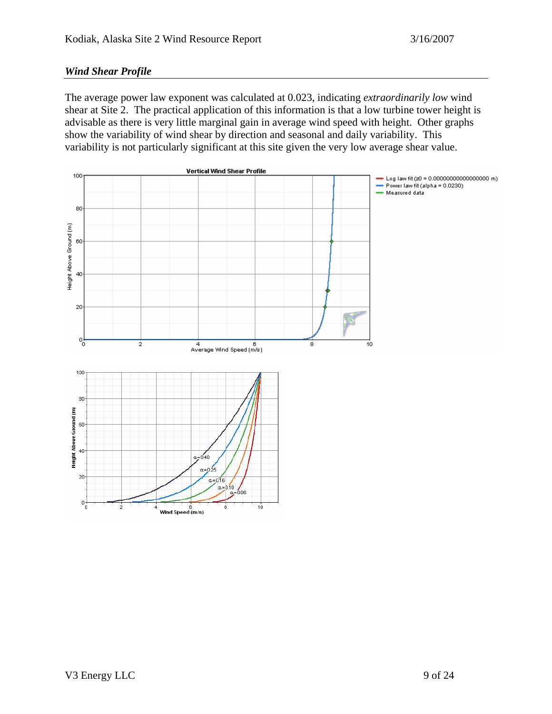#### *Wind Shear Profile*

The average power law exponent was calculated at 0.023, indicating *extraordinarily low* wind shear at Site 2. The practical application of this information is that a low turbine tower height is advisable as there is very little marginal gain in average wind speed with height. Other graphs show the variability of wind shear by direction and seasonal and daily variability. This variability is not particularly significant at this site given the very low average shear value.

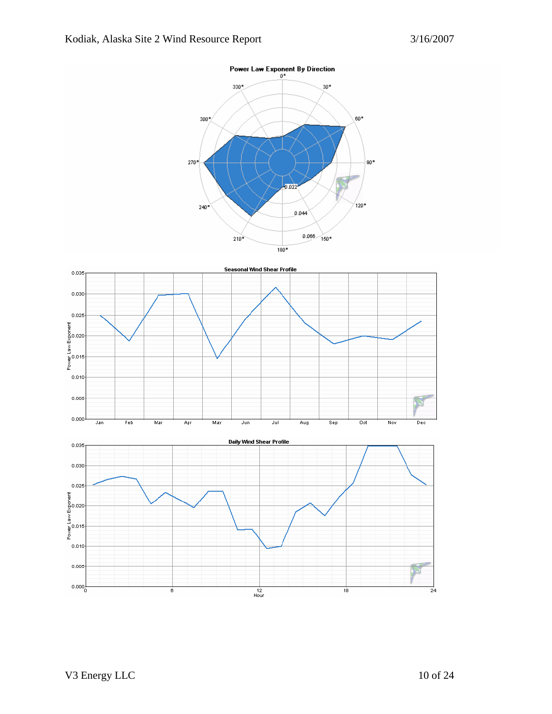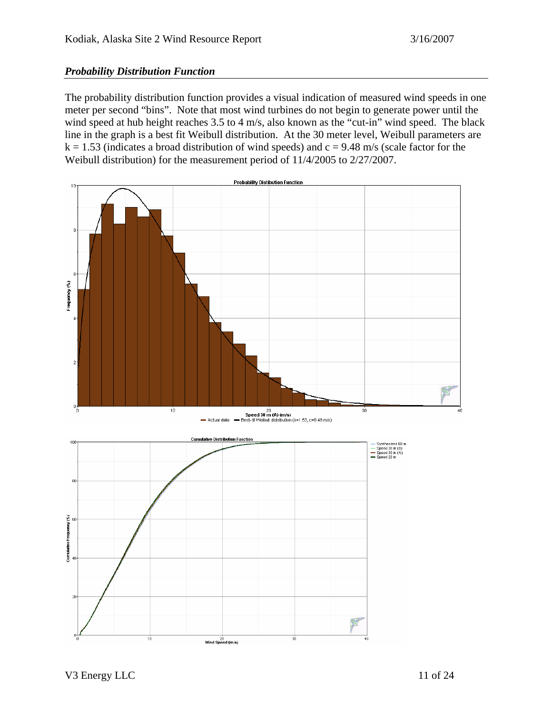#### *Probability Distribution Function*

The probability distribution function provides a visual indication of measured wind speeds in one meter per second "bins". Note that most wind turbines do not begin to generate power until the wind speed at hub height reaches 3.5 to 4 m/s, also known as the "cut-in" wind speed. The black line in the graph is a best fit Weibull distribution. At the 30 meter level, Weibull parameters are  $k = 1.53$  (indicates a broad distribution of wind speeds) and  $c = 9.48$  m/s (scale factor for the Weibull distribution) for the measurement period of 11/4/2005 to 2/27/2007.

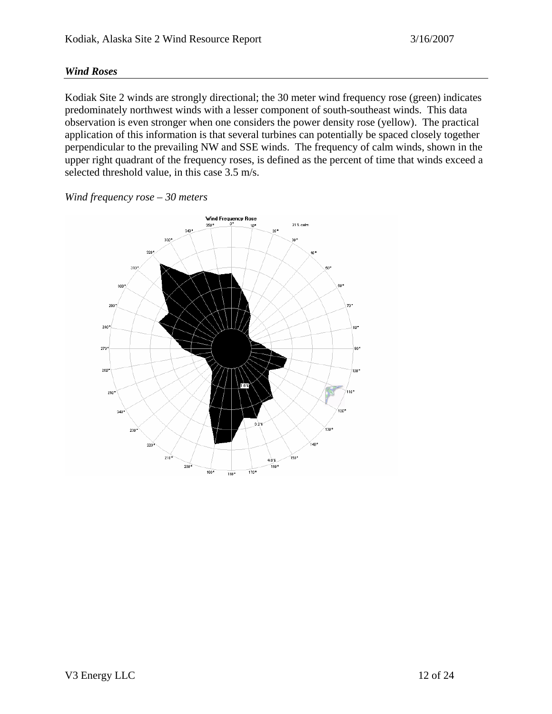#### *Wind Roses*

Kodiak Site 2 winds are strongly directional; the 30 meter wind frequency rose (green) indicates predominately northwest winds with a lesser component of south-southeast winds. This data observation is even stronger when one considers the power density rose (yellow). The practical application of this information is that several turbines can potentially be spaced closely together perpendicular to the prevailing NW and SSE winds. The frequency of calm winds, shown in the upper right quadrant of the frequency roses, is defined as the percent of time that winds exceed a selected threshold value, in this case 3.5 m/s.



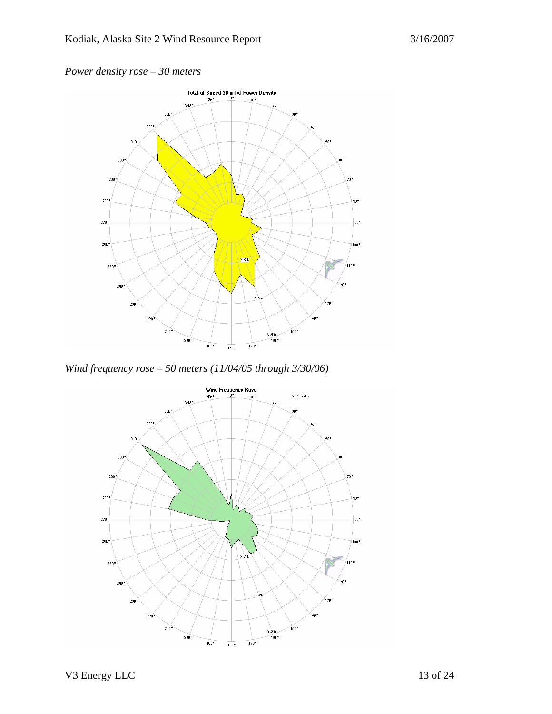### *Power density rose – 30 meters*



*Wind frequency rose – 50 meters (11/04/05 through 3/30/06)* 

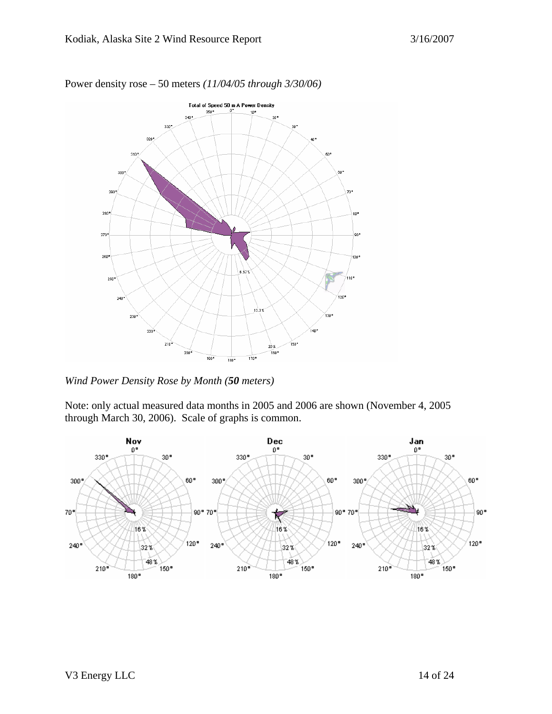

Power density rose – 50 meters *(11/04/05 through 3/30/06)* 

*Wind Power Density Rose by Month (50 meters)* 

Note: only actual measured data months in 2005 and 2006 are shown (November 4, 2005 through March 30, 2006). Scale of graphs is common.

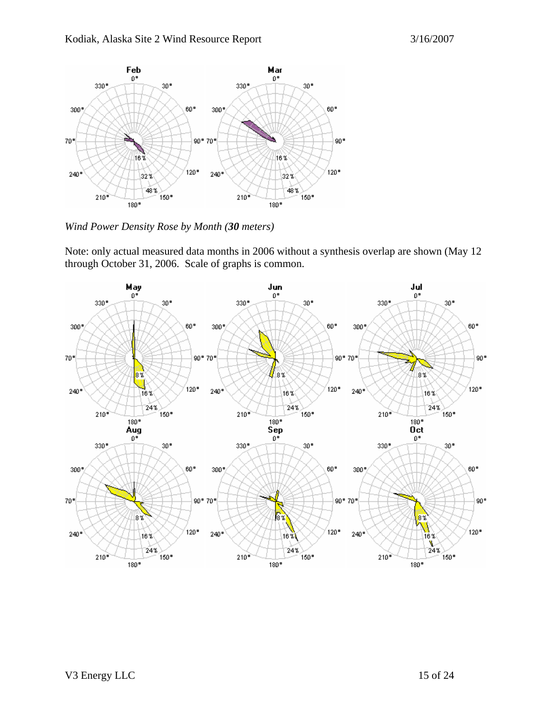

*Wind Power Density Rose by Month (30 meters)* 

Note: only actual measured data months in 2006 without a synthesis overlap are shown (May 12 through October 31, 2006. Scale of graphs is common.

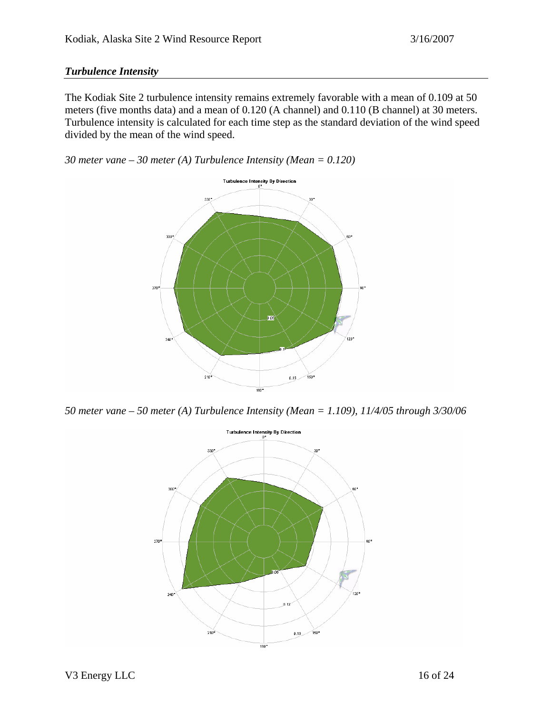#### *Turbulence Intensity*

The Kodiak Site 2 turbulence intensity remains extremely favorable with a mean of 0.109 at 50 meters (five months data) and a mean of 0.120 (A channel) and 0.110 (B channel) at 30 meters. Turbulence intensity is calculated for each time step as the standard deviation of the wind speed divided by the mean of the wind speed.

*30 meter vane – 30 meter (A) Turbulence Intensity (Mean = 0.120)* 



*50 meter vane – 50 meter (A) Turbulence Intensity (Mean = 1.109), 11/4/05 through 3/30/06* 

![](_page_15_Figure_7.jpeg)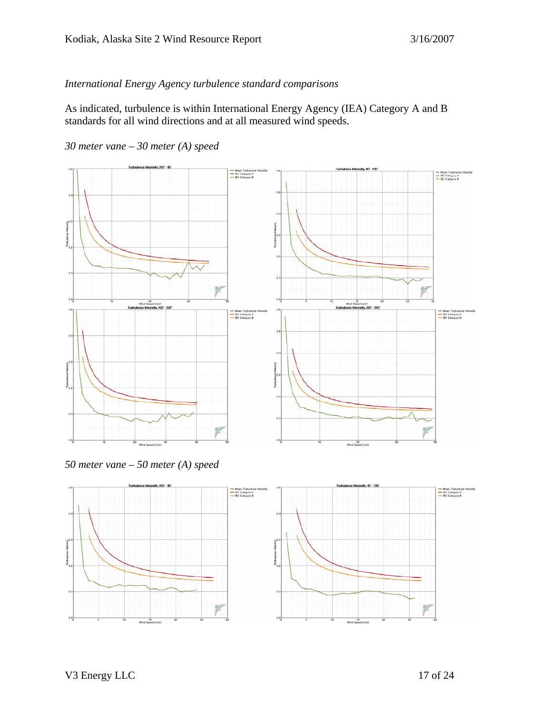#### *International Energy Agency turbulence standard comparisons*

As indicated, turbulence is within International Energy Agency (IEA) Category A and B standards for all wind directions and at all measured wind speeds.

*30 meter vane – 30 meter (A) speed* 

![](_page_16_Figure_5.jpeg)

*50 meter vane – 50 meter (A) speed* 

![](_page_16_Figure_7.jpeg)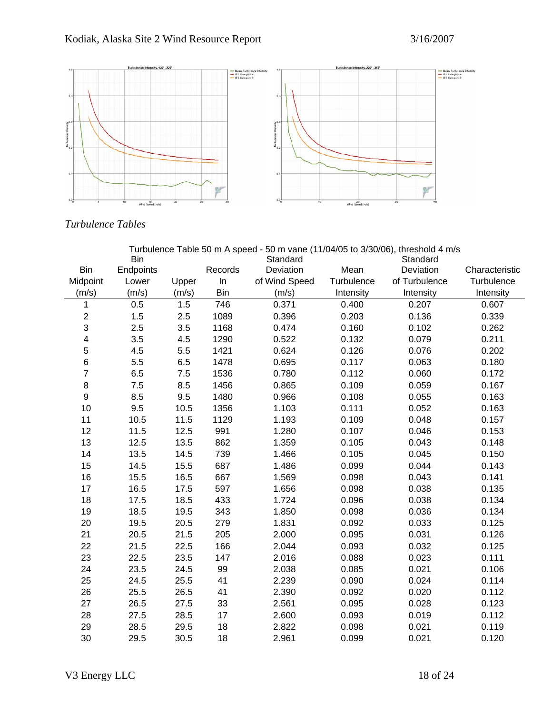![](_page_17_Figure_2.jpeg)

### *Turbulence Tables*

| Turbulence Table 50 m A speed - 50 m vane (11/04/05 to 3/30/06), threshold 4 m/s |            |       |         |               |            |               |                |
|----------------------------------------------------------------------------------|------------|-------|---------|---------------|------------|---------------|----------------|
|                                                                                  | <b>Bin</b> |       |         | Standard      |            | Standard      |                |
| <b>Bin</b>                                                                       | Endpoints  |       | Records | Deviation     | Mean       | Deviation     | Characteristic |
| Midpoint                                                                         | Lower      | Upper | In      | of Wind Speed | Turbulence | of Turbulence | Turbulence     |
| (m/s)                                                                            | (m/s)      | (m/s) | Bin     | (m/s)         | Intensity  | Intensity     | Intensity      |
| $\mathbf{1}$                                                                     | 0.5        | 1.5   | 746     | 0.371         | 0.400      | 0.207         | 0.607          |
| $\overline{\mathbf{c}}$                                                          | 1.5        | 2.5   | 1089    | 0.396         | 0.203      | 0.136         | 0.339          |
| 3                                                                                | 2.5        | 3.5   | 1168    | 0.474         | 0.160      | 0.102         | 0.262          |
| 4                                                                                | 3.5        | 4.5   | 1290    | 0.522         | 0.132      | 0.079         | 0.211          |
| 5                                                                                | 4.5        | 5.5   | 1421    | 0.624         | 0.126      | 0.076         | 0.202          |
| 6                                                                                | 5.5        | 6.5   | 1478    | 0.695         | 0.117      | 0.063         | 0.180          |
| $\overline{7}$                                                                   | 6.5        | 7.5   | 1536    | 0.780         | 0.112      | 0.060         | 0.172          |
| 8                                                                                | 7.5        | 8.5   | 1456    | 0.865         | 0.109      | 0.059         | 0.167          |
| 9                                                                                | 8.5        | 9.5   | 1480    | 0.966         | 0.108      | 0.055         | 0.163          |
| 10                                                                               | 9.5        | 10.5  | 1356    | 1.103         | 0.111      | 0.052         | 0.163          |
| 11                                                                               | 10.5       | 11.5  | 1129    | 1.193         | 0.109      | 0.048         | 0.157          |
| 12                                                                               | 11.5       | 12.5  | 991     | 1.280         | 0.107      | 0.046         | 0.153          |
| 13                                                                               | 12.5       | 13.5  | 862     | 1.359         | 0.105      | 0.043         | 0.148          |
| 14                                                                               | 13.5       | 14.5  | 739     | 1.466         | 0.105      | 0.045         | 0.150          |
| 15                                                                               | 14.5       | 15.5  | 687     | 1.486         | 0.099      | 0.044         | 0.143          |
| 16                                                                               | 15.5       | 16.5  | 667     | 1.569         | 0.098      | 0.043         | 0.141          |
| 17                                                                               | 16.5       | 17.5  | 597     | 1.656         | 0.098      | 0.038         | 0.135          |
| 18                                                                               | 17.5       | 18.5  | 433     | 1.724         | 0.096      | 0.038         | 0.134          |
| 19                                                                               | 18.5       | 19.5  | 343     | 1.850         | 0.098      | 0.036         | 0.134          |
| 20                                                                               | 19.5       | 20.5  | 279     | 1.831         | 0.092      | 0.033         | 0.125          |
| 21                                                                               | 20.5       | 21.5  | 205     | 2.000         | 0.095      | 0.031         | 0.126          |
| 22                                                                               | 21.5       | 22.5  | 166     | 2.044         | 0.093      | 0.032         | 0.125          |
| 23                                                                               | 22.5       | 23.5  | 147     | 2.016         | 0.088      | 0.023         | 0.111          |
| 24                                                                               | 23.5       | 24.5  | 99      | 2.038         | 0.085      | 0.021         | 0.106          |
| 25                                                                               | 24.5       | 25.5  | 41      | 2.239         | 0.090      | 0.024         | 0.114          |
| 26                                                                               | 25.5       | 26.5  | 41      | 2.390         | 0.092      | 0.020         | 0.112          |
| 27                                                                               | 26.5       | 27.5  | 33      | 2.561         | 0.095      | 0.028         | 0.123          |
| 28                                                                               | 27.5       | 28.5  | 17      | 2.600         | 0.093      | 0.019         | 0.112          |
| 29                                                                               | 28.5       | 29.5  | 18      | 2.822         | 0.098      | 0.021         | 0.119          |
| 30                                                                               | 29.5       | 30.5  | 18      | 2.961         | 0.099      | 0.021         | 0.120          |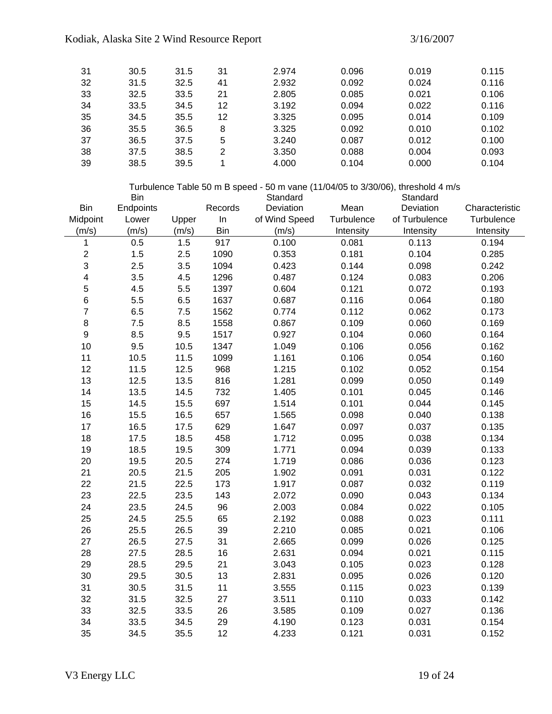#### Kodiak, Alaska Site 2 Wind Resource Report 3/16/2007

| -31 | 30.5 | 31.5 | 31 | 2.974 | 0.096 | 0.019 | 0.115 |
|-----|------|------|----|-------|-------|-------|-------|
| 32  | 31.5 | 32.5 | 41 | 2.932 | 0.092 | 0.024 | 0.116 |
| 33  | 32.5 | 33.5 | 21 | 2.805 | 0.085 | 0.021 | 0.106 |
| 34  | 33.5 | 34.5 | 12 | 3.192 | 0.094 | 0.022 | 0.116 |
| 35  | 34.5 | 35.5 | 12 | 3.325 | 0.095 | 0.014 | 0.109 |
| 36  | 35.5 | 36.5 | 8  | 3.325 | 0.092 | 0.010 | 0.102 |
| 37  | 36.5 | 37.5 | 5  | 3.240 | 0.087 | 0.012 | 0.100 |
| 38  | 37.5 | 38.5 | 2  | 3.350 | 0.088 | 0.004 | 0.093 |
| 39  | 38.5 | 39.5 |    | 4.000 | 0.104 | 0.000 | 0.104 |

|                         | <b>Bin</b> |       |            | Turbulence Table 50 m B speed - 50 m vane (11/04/05 to 3/30/06), threshold 4 m/s<br>Standard |            | Standard      |                |
|-------------------------|------------|-------|------------|----------------------------------------------------------------------------------------------|------------|---------------|----------------|
| Bin                     | Endpoints  |       | Records    | Deviation                                                                                    | Mean       | Deviation     | Characteristic |
| Midpoint                | Lower      | Upper | In         | of Wind Speed                                                                                | Turbulence | of Turbulence | Turbulence     |
| (m/s)                   | (m/s)      | (m/s) | <b>Bin</b> | (m/s)                                                                                        | Intensity  | Intensity     | Intensity      |
| $\mathbf{1}$            | 0.5        | 1.5   | 917        | 0.100                                                                                        | 0.081      | 0.113         | 0.194          |
| $\boldsymbol{2}$        | 1.5        | 2.5   | 1090       | 0.353                                                                                        | 0.181      | 0.104         | 0.285          |
| 3                       | 2.5        | 3.5   | 1094       | 0.423                                                                                        | 0.144      | 0.098         | 0.242          |
| $\overline{\mathbf{4}}$ | 3.5        | 4.5   | 1296       | 0.487                                                                                        | 0.124      | 0.083         | 0.206          |
| 5                       | 4.5        | 5.5   | 1397       | 0.604                                                                                        | 0.121      | 0.072         | 0.193          |
| $\, 6$                  | 5.5        | 6.5   | 1637       | 0.687                                                                                        | 0.116      | 0.064         | 0.180          |
| $\overline{7}$          | 6.5        | 7.5   | 1562       | 0.774                                                                                        | 0.112      | 0.062         | 0.173          |
| $\bf 8$                 | 7.5        | 8.5   | 1558       | 0.867                                                                                        | 0.109      | 0.060         | 0.169          |
| $\boldsymbol{9}$        | 8.5        | 9.5   | 1517       | 0.927                                                                                        | 0.104      | 0.060         | 0.164          |
| 10                      | 9.5        | 10.5  | 1347       | 1.049                                                                                        | 0.106      | 0.056         | 0.162          |
| 11                      | 10.5       | 11.5  | 1099       | 1.161                                                                                        | 0.106      | 0.054         | 0.160          |
| 12                      | 11.5       | 12.5  | 968        | 1.215                                                                                        | 0.102      | 0.052         | 0.154          |
| 13                      | 12.5       | 13.5  | 816        | 1.281                                                                                        | 0.099      | 0.050         | 0.149          |
| 14                      | 13.5       | 14.5  | 732        | 1.405                                                                                        | 0.101      | 0.045         | 0.146          |
| 15                      | 14.5       | 15.5  | 697        | 1.514                                                                                        | 0.101      | 0.044         | 0.145          |
| 16                      | 15.5       | 16.5  | 657        | 1.565                                                                                        | 0.098      | 0.040         | 0.138          |
| 17                      | 16.5       | 17.5  | 629        | 1.647                                                                                        | 0.097      | 0.037         | 0.135          |
| 18                      | 17.5       | 18.5  | 458        | 1.712                                                                                        | 0.095      | 0.038         | 0.134          |
| 19                      | 18.5       | 19.5  | 309        | 1.771                                                                                        | 0.094      | 0.039         | 0.133          |
| 20                      | 19.5       | 20.5  | 274        | 1.719                                                                                        | 0.086      | 0.036         | 0.123          |
| 21                      | 20.5       | 21.5  | 205        | 1.902                                                                                        | 0.091      | 0.031         | 0.122          |
| 22                      | 21.5       | 22.5  | 173        | 1.917                                                                                        | 0.087      | 0.032         | 0.119          |
| 23                      | 22.5       | 23.5  | 143        | 2.072                                                                                        | 0.090      | 0.043         | 0.134          |
| 24                      | 23.5       | 24.5  | 96         | 2.003                                                                                        | 0.084      | 0.022         | 0.105          |
| 25                      | 24.5       | 25.5  | 65         | 2.192                                                                                        | 0.088      | 0.023         | 0.111          |
| 26                      | 25.5       | 26.5  | 39         | 2.210                                                                                        | 0.085      | 0.021         | 0.106          |
| 27                      | 26.5       | 27.5  | 31         | 2.665                                                                                        | 0.099      | 0.026         | 0.125          |
| 28                      | 27.5       | 28.5  | 16         | 2.631                                                                                        | 0.094      | 0.021         | 0.115          |
| 29                      | 28.5       | 29.5  | 21         | 3.043                                                                                        | 0.105      | 0.023         | 0.128          |
| 30                      | 29.5       | 30.5  | 13         | 2.831                                                                                        | 0.095      | 0.026         | 0.120          |
| 31                      | 30.5       | 31.5  | 11         | 3.555                                                                                        | 0.115      | 0.023         | 0.139          |
| 32                      | 31.5       | 32.5  | 27         | 3.511                                                                                        | 0.110      | 0.033         | 0.142          |
| 33                      | 32.5       | 33.5  | 26         | 3.585                                                                                        | 0.109      | 0.027         | 0.136          |
| 34                      | 33.5       | 34.5  | 29         | 4.190                                                                                        | 0.123      | 0.031         | 0.154          |
| 35                      | 34.5       | 35.5  | 12         | 4.233                                                                                        | 0.121      | 0.031         | 0.152          |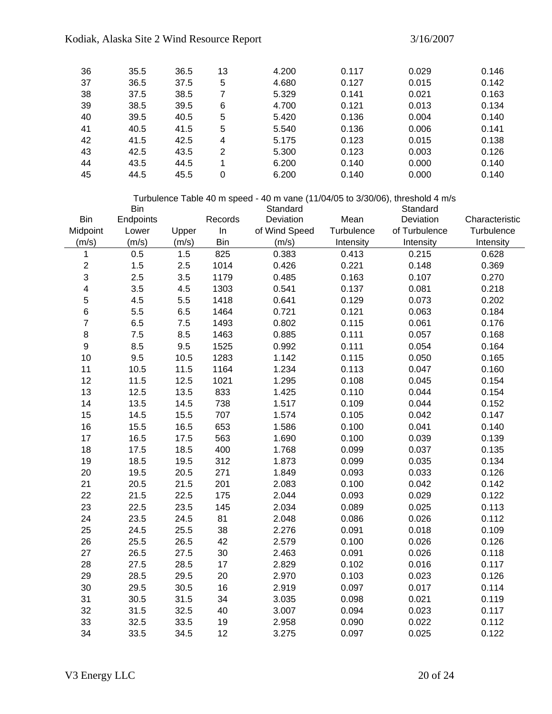| 36 | 35.5 | 36.5 | 13 | 4.200 | 0.117 | 0.029 | 0.146 |
|----|------|------|----|-------|-------|-------|-------|
| 37 | 36.5 | 37.5 | 5  | 4.680 | 0.127 | 0.015 | 0.142 |
| 38 | 37.5 | 38.5 |    | 5.329 | 0.141 | 0.021 | 0.163 |
| 39 | 38.5 | 39.5 | 6  | 4.700 | 0.121 | 0.013 | 0.134 |
| 40 | 39.5 | 40.5 | 5  | 5.420 | 0.136 | 0.004 | 0.140 |
| 41 | 40.5 | 41.5 | 5  | 5.540 | 0.136 | 0.006 | 0.141 |
| 42 | 41.5 | 42.5 | 4  | 5.175 | 0.123 | 0.015 | 0.138 |
| 43 | 42.5 | 43.5 | 2  | 5.300 | 0.123 | 0.003 | 0.126 |
| 44 | 43.5 | 44.5 |    | 6.200 | 0.140 | 0.000 | 0.140 |
| 45 | 44.5 | 45.5 | 0  | 6.200 | 0.140 | 0.000 | 0.140 |

|                         | <b>Bin</b> |       |            | Turbulence Table 40 m speed - 40 m vane (11/04/05 to 3/30/06), threshold 4 m/s<br>Standard |            | Standard      |                |
|-------------------------|------------|-------|------------|--------------------------------------------------------------------------------------------|------------|---------------|----------------|
| <b>Bin</b>              | Endpoints  |       | Records    | Deviation                                                                                  | Mean       | Deviation     | Characteristic |
| Midpoint                | Lower      | Upper | In         | of Wind Speed                                                                              | Turbulence | of Turbulence | Turbulence     |
| (m/s)                   | (m/s)      | (m/s) | <b>Bin</b> | (m/s)                                                                                      | Intensity  | Intensity     | Intensity      |
| 1                       | 0.5        | 1.5   | 825        | 0.383                                                                                      | 0.413      | 0.215         | 0.628          |
| $\mathbf 2$             | 1.5        | 2.5   | 1014       | 0.426                                                                                      | 0.221      | 0.148         | 0.369          |
| 3                       | 2.5        | 3.5   | 1179       | 0.485                                                                                      | 0.163      | 0.107         | 0.270          |
| $\overline{\mathbf{4}}$ | 3.5        | 4.5   | 1303       | 0.541                                                                                      | 0.137      | 0.081         | 0.218          |
| 5                       | 4.5        | 5.5   | 1418       | 0.641                                                                                      | 0.129      | 0.073         | 0.202          |
| 6                       | 5.5        | 6.5   | 1464       | 0.721                                                                                      | 0.121      | 0.063         | 0.184          |
| $\overline{7}$          | 6.5        | 7.5   | 1493       | 0.802                                                                                      | 0.115      | 0.061         | 0.176          |
| $\bf8$                  | 7.5        | 8.5   | 1463       | 0.885                                                                                      | 0.111      | 0.057         | 0.168          |
| $\boldsymbol{9}$        | 8.5        | 9.5   | 1525       | 0.992                                                                                      | 0.111      | 0.054         | 0.164          |
| 10                      | 9.5        | 10.5  | 1283       | 1.142                                                                                      | 0.115      | 0.050         | 0.165          |
| 11                      | 10.5       | 11.5  | 1164       | 1.234                                                                                      | 0.113      | 0.047         | 0.160          |
| 12                      | 11.5       | 12.5  | 1021       | 1.295                                                                                      | 0.108      | 0.045         | 0.154          |
| 13                      | 12.5       | 13.5  | 833        | 1.425                                                                                      | 0.110      | 0.044         | 0.154          |
| 14                      | 13.5       | 14.5  | 738        | 1.517                                                                                      | 0.109      | 0.044         | 0.152          |
| 15                      | 14.5       | 15.5  | 707        | 1.574                                                                                      | 0.105      | 0.042         | 0.147          |
| 16                      | 15.5       | 16.5  | 653        | 1.586                                                                                      | 0.100      | 0.041         | 0.140          |
| 17                      | 16.5       | 17.5  | 563        | 1.690                                                                                      | 0.100      | 0.039         | 0.139          |
| 18                      | 17.5       | 18.5  | 400        | 1.768                                                                                      | 0.099      | 0.037         | 0.135          |
| 19                      | 18.5       | 19.5  | 312        | 1.873                                                                                      | 0.099      | 0.035         | 0.134          |
| 20                      | 19.5       | 20.5  | 271        | 1.849                                                                                      | 0.093      | 0.033         | 0.126          |
| 21                      | 20.5       | 21.5  | 201        | 2.083                                                                                      | 0.100      | 0.042         | 0.142          |
| 22                      | 21.5       | 22.5  | 175        | 2.044                                                                                      | 0.093      | 0.029         | 0.122          |
| 23                      | 22.5       | 23.5  | 145        | 2.034                                                                                      | 0.089      | 0.025         | 0.113          |
| 24                      | 23.5       | 24.5  | 81         | 2.048                                                                                      | 0.086      | 0.026         | 0.112          |
| 25                      | 24.5       | 25.5  | 38         | 2.276                                                                                      | 0.091      | 0.018         | 0.109          |
| 26                      | 25.5       | 26.5  | 42         | 2.579                                                                                      | 0.100      | 0.026         | 0.126          |
| 27                      | 26.5       | 27.5  | 30         | 2.463                                                                                      | 0.091      | 0.026         | 0.118          |
| 28                      | 27.5       | 28.5  | 17         | 2.829                                                                                      | 0.102      | 0.016         | 0.117          |
| 29                      | 28.5       | 29.5  | 20         | 2.970                                                                                      | 0.103      | 0.023         | 0.126          |
| 30                      | 29.5       | 30.5  | 16         | 2.919                                                                                      | 0.097      | 0.017         | 0.114          |
| 31                      | 30.5       | 31.5  | 34         | 3.035                                                                                      | 0.098      | 0.021         | 0.119          |
| 32                      | 31.5       | 32.5  | 40         | 3.007                                                                                      | 0.094      | 0.023         | 0.117          |
| 33                      | 32.5       | 33.5  | 19         | 2.958                                                                                      | 0.090      | 0.022         | 0.112          |
| 34                      | 33.5       | 34.5  | 12         | 3.275                                                                                      | 0.097      | 0.025         | 0.122          |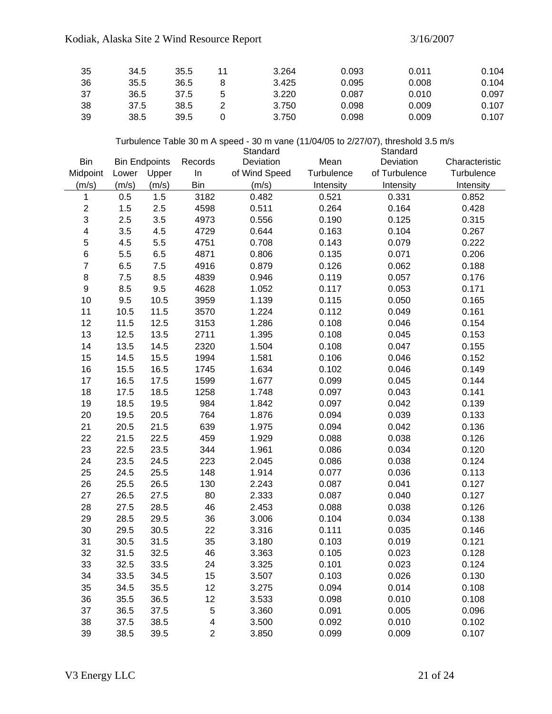## Kodiak, Alaska Site 2 Wind Resource Report 3/16/2007

| -35 | 34.5 | 35.5 | 3.264 | 0.093 | 0.011 | 0.104 |
|-----|------|------|-------|-------|-------|-------|
| -36 | 35.5 | 36.5 | 3.425 | 0.095 | 0.008 | 0.104 |
| -37 | 36.5 | 37.5 | 3.220 | 0.087 | 0.010 | 0.097 |
| -38 | 37.5 | 38.5 | 3.750 | 0.098 | 0.009 | 0.107 |
| -39 | 38.5 | 39.5 | 3.750 | 0.098 | 0.009 | 0.107 |

#### Turbulence Table 30 m A speed - 30 m vane (11/04/05 to 2/27/07), threshold 3.5 m/s

|                         |       |                      |                | Standard      |            | Standard      |                |
|-------------------------|-------|----------------------|----------------|---------------|------------|---------------|----------------|
| <b>Bin</b>              |       | <b>Bin Endpoints</b> | Records        | Deviation     | Mean       | Deviation     | Characteristic |
| Midpoint                | Lower | Upper                | In             | of Wind Speed | Turbulence | of Turbulence | Turbulence     |
| (m/s)                   | (m/s) | (m/s)                | <b>Bin</b>     | (m/s)         | Intensity  | Intensity     | Intensity      |
| 1                       | 0.5   | 1.5                  | 3182           | 0.482         | 0.521      | 0.331         | 0.852          |
| $\overline{\mathbf{c}}$ | 1.5   | 2.5                  | 4598           | 0.511         | 0.264      | 0.164         | 0.428          |
| 3                       | 2.5   | 3.5                  | 4973           | 0.556         | 0.190      | 0.125         | 0.315          |
| 4                       | 3.5   | 4.5                  | 4729           | 0.644         | 0.163      | 0.104         | 0.267          |
| 5                       | 4.5   | 5.5                  | 4751           | 0.708         | 0.143      | 0.079         | 0.222          |
| 6                       | 5.5   | 6.5                  | 4871           | 0.806         | 0.135      | 0.071         | 0.206          |
| $\overline{7}$          | 6.5   | 7.5                  | 4916           | 0.879         | 0.126      | 0.062         | 0.188          |
| 8                       | 7.5   | 8.5                  | 4839           | 0.946         | 0.119      | 0.057         | 0.176          |
| $\boldsymbol{9}$        | 8.5   | 9.5                  | 4628           | 1.052         | 0.117      | 0.053         | 0.171          |
| 10                      | 9.5   | 10.5                 | 3959           | 1.139         | 0.115      | 0.050         | 0.165          |
| 11                      | 10.5  | 11.5                 | 3570           | 1.224         | 0.112      | 0.049         | 0.161          |
| 12                      | 11.5  | 12.5                 | 3153           | 1.286         | 0.108      | 0.046         | 0.154          |
| 13                      | 12.5  | 13.5                 | 2711           | 1.395         | 0.108      | 0.045         | 0.153          |
| 14                      | 13.5  | 14.5                 | 2320           | 1.504         | 0.108      | 0.047         | 0.155          |
| 15                      | 14.5  | 15.5                 | 1994           | 1.581         | 0.106      | 0.046         | 0.152          |
| 16                      | 15.5  | 16.5                 | 1745           | 1.634         | 0.102      | 0.046         | 0.149          |
| 17                      | 16.5  | 17.5                 | 1599           | 1.677         | 0.099      | 0.045         | 0.144          |
| 18                      | 17.5  | 18.5                 | 1258           | 1.748         | 0.097      | 0.043         | 0.141          |
| 19                      | 18.5  | 19.5                 | 984            | 1.842         | 0.097      | 0.042         | 0.139          |
| 20                      | 19.5  | 20.5                 | 764            | 1.876         | 0.094      | 0.039         | 0.133          |
| 21                      | 20.5  | 21.5                 | 639            | 1.975         | 0.094      | 0.042         | 0.136          |
| 22                      | 21.5  | 22.5                 | 459            | 1.929         | 0.088      | 0.038         | 0.126          |
| 23                      | 22.5  | 23.5                 | 344            | 1.961         | 0.086      | 0.034         | 0.120          |
| 24                      | 23.5  | 24.5                 | 223            | 2.045         | 0.086      | 0.038         | 0.124          |
| 25                      | 24.5  | 25.5                 | 148            | 1.914         | 0.077      | 0.036         | 0.113          |
| 26                      | 25.5  | 26.5                 | 130            | 2.243         | 0.087      | 0.041         | 0.127          |
| 27                      | 26.5  | 27.5                 | 80             | 2.333         | 0.087      | 0.040         | 0.127          |
| 28                      | 27.5  | 28.5                 | 46             | 2.453         | 0.088      | 0.038         | 0.126          |
| 29                      | 28.5  | 29.5                 | 36             | 3.006         | 0.104      | 0.034         | 0.138          |
| 30                      | 29.5  | 30.5                 | 22             | 3.316         | 0.111      | 0.035         | 0.146          |
| 31                      | 30.5  | 31.5                 | 35             | 3.180         | 0.103      | 0.019         | 0.121          |
| 32                      | 31.5  | 32.5                 | 46             | 3.363         | 0.105      | 0.023         | 0.128          |
| 33                      | 32.5  | 33.5                 | 24             | 3.325         | 0.101      | 0.023         | 0.124          |
| 34                      | 33.5  | 34.5                 | 15             | 3.507         | 0.103      | 0.026         | 0.130          |
| 35                      | 34.5  | 35.5                 | 12             | 3.275         | 0.094      | 0.014         | 0.108          |
| 36                      | 35.5  | 36.5                 | 12             | 3.533         | 0.098      | 0.010         | 0.108          |
| 37                      | 36.5  | 37.5                 | 5              | 3.360         | 0.091      | 0.005         | 0.096          |
| 38                      | 37.5  | 38.5                 | 4              | 3.500         | 0.092      | 0.010         | 0.102          |
| 39                      | 38.5  | 39.5                 | $\overline{2}$ | 3.850         | 0.099      | 0.009         | 0.107          |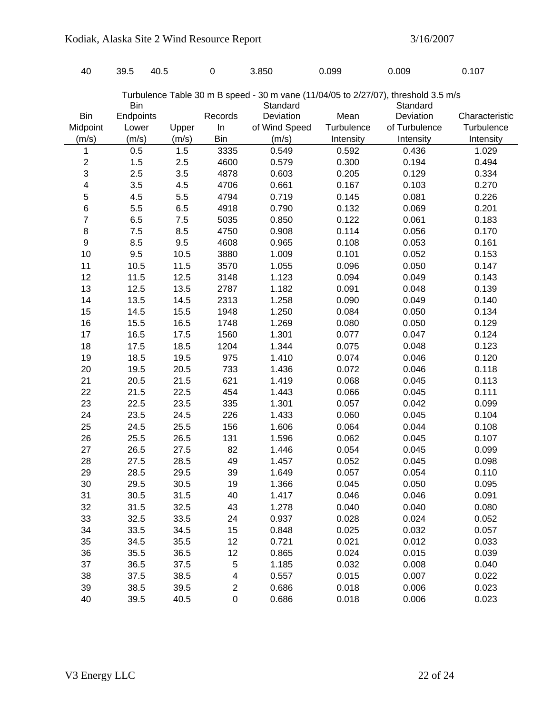| 40               | 39.5       | 40.5  | $\mathbf 0$             | 3.850                                                                              | 0.099      | 0.009         | 0.107          |
|------------------|------------|-------|-------------------------|------------------------------------------------------------------------------------|------------|---------------|----------------|
|                  |            |       |                         |                                                                                    |            |               |                |
|                  |            |       |                         | Turbulence Table 30 m B speed - 30 m vane (11/04/05 to 2/27/07), threshold 3.5 m/s |            |               |                |
|                  | <b>Bin</b> |       |                         | Standard                                                                           |            | Standard      |                |
| <b>Bin</b>       | Endpoints  |       | Records                 | Deviation                                                                          | Mean       | Deviation     | Characteristic |
| Midpoint         | Lower      | Upper | In                      | of Wind Speed                                                                      | Turbulence | of Turbulence | Turbulence     |
| (m/s)            | (m/s)      | (m/s) | <b>Bin</b>              | (m/s)                                                                              | Intensity  | Intensity     | Intensity      |
| 1                | 0.5        | 1.5   | 3335                    | 0.549                                                                              | 0.592      | 0.436         | 1.029          |
| $\overline{c}$   | 1.5        | 2.5   | 4600                    | 0.579                                                                              | 0.300      | 0.194         | 0.494          |
| 3                | 2.5        | 3.5   | 4878                    | 0.603                                                                              | 0.205      | 0.129         | 0.334          |
| 4                | 3.5        | 4.5   | 4706                    | 0.661                                                                              | 0.167      | 0.103         | 0.270          |
| 5                | 4.5        | 5.5   | 4794                    | 0.719                                                                              | 0.145      | 0.081         | 0.226          |
| $\,6$            | 5.5        | 6.5   | 4918                    | 0.790                                                                              | 0.132      | 0.069         | 0.201          |
| 7                | 6.5        | 7.5   | 5035                    | 0.850                                                                              | 0.122      | 0.061         | 0.183          |
| 8                | 7.5        | 8.5   | 4750                    | 0.908                                                                              | 0.114      | 0.056         | 0.170          |
| $\boldsymbol{9}$ | 8.5        | 9.5   | 4608                    | 0.965                                                                              | 0.108      | 0.053         | 0.161          |
| 10               | 9.5        | 10.5  | 3880                    | 1.009                                                                              | 0.101      | 0.052         | 0.153          |
| 11               | 10.5       | 11.5  | 3570                    | 1.055                                                                              | 0.096      | 0.050         | 0.147          |
| 12               | 11.5       | 12.5  | 3148                    | 1.123                                                                              | 0.094      | 0.049         | 0.143          |
| 13               | 12.5       | 13.5  | 2787                    | 1.182                                                                              | 0.091      | 0.048         | 0.139          |
| 14               | 13.5       | 14.5  | 2313                    | 1.258                                                                              | 0.090      | 0.049         | 0.140          |
| 15               | 14.5       | 15.5  | 1948                    | 1.250                                                                              | 0.084      | 0.050         | 0.134          |
| 16               | 15.5       | 16.5  | 1748                    | 1.269                                                                              | 0.080      | 0.050         | 0.129          |
| 17               | 16.5       | 17.5  | 1560                    | 1.301                                                                              | 0.077      | 0.047         | 0.124          |
| 18               | 17.5       | 18.5  | 1204                    | 1.344                                                                              | 0.075      | 0.048         | 0.123          |
| 19               | 18.5       | 19.5  | 975                     | 1.410                                                                              | 0.074      | 0.046         | 0.120          |
| 20               | 19.5       | 20.5  | 733                     | 1.436                                                                              | 0.072      | 0.046         | 0.118          |
| 21               | 20.5       | 21.5  | 621                     | 1.419                                                                              | 0.068      | 0.045         | 0.113          |
| 22               | 21.5       | 22.5  | 454                     | 1.443                                                                              | 0.066      | 0.045         | 0.111          |
| 23               | 22.5       | 23.5  | 335                     | 1.301                                                                              | 0.057      | 0.042         | 0.099          |
| 24               | 23.5       | 24.5  | 226                     | 1.433                                                                              | 0.060      | 0.045         | 0.104          |
| 25               | 24.5       | 25.5  | 156                     | 1.606                                                                              | 0.064      | 0.044         | 0.108          |
| 26               | 25.5       | 26.5  | 131                     | 1.596                                                                              | 0.062      | 0.045         | 0.107          |
| 27               | 26.5       | 27.5  | 82                      | 1.446                                                                              | 0.054      | 0.045         | 0.099          |
| 28               | 27.5       | 28.5  | 49                      | 1.457                                                                              | 0.052      | 0.045         | 0.098          |
| 29               | 28.5       | 29.5  | 39                      | 1.649                                                                              | 0.057      | 0.054         | 0.110          |
| 30               | 29.5       | 30.5  | 19                      | 1.366                                                                              | 0.045      | 0.050         | 0.095          |
| 31               | 30.5       | 31.5  | 40                      | 1.417                                                                              | 0.046      | 0.046         | 0.091          |
| 32               | 31.5       | 32.5  | 43                      | 1.278                                                                              | 0.040      | 0.040         | 0.080          |
| 33               | 32.5       | 33.5  | 24                      | 0.937                                                                              | 0.028      | 0.024         | 0.052          |
| 34               | 33.5       | 34.5  | 15                      | 0.848                                                                              | 0.025      | 0.032         | 0.057          |
| 35               | 34.5       | 35.5  | 12                      | 0.721                                                                              | 0.021      | 0.012         | 0.033          |
| 36               | 35.5       | 36.5  | 12                      | 0.865                                                                              | 0.024      | 0.015         | 0.039          |
| 37               | 36.5       | 37.5  | 5                       | 1.185                                                                              | 0.032      | 0.008         | 0.040          |
| 38               | 37.5       | 38.5  | $\overline{\mathbf{4}}$ | 0.557                                                                              | 0.015      | 0.007         | 0.022          |
| 39               | 38.5       | 39.5  | $\overline{\mathbf{c}}$ | 0.686                                                                              | 0.018      | 0.006         | 0.023          |
| 40               | 39.5       | 40.5  | $\mathbf 0$             | 0.686                                                                              | 0.018      | 0.006         | 0.023          |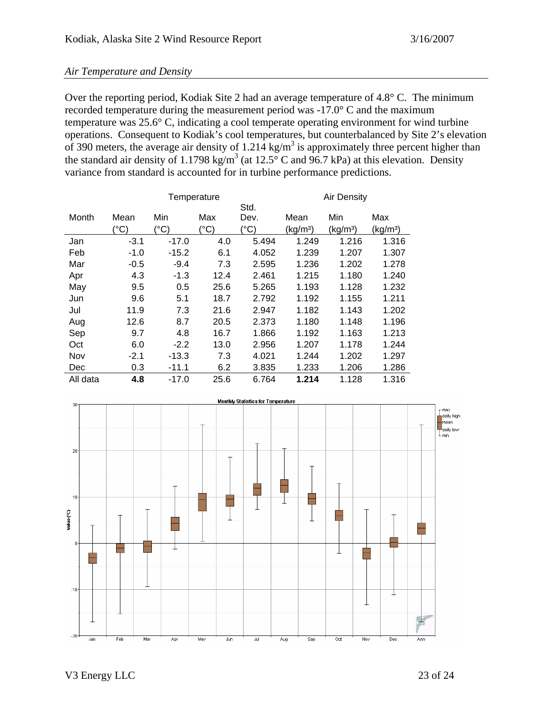#### *Air Temperature and Density*

Over the reporting period, Kodiak Site 2 had an average temperature of 4.8° C. The minimum recorded temperature during the measurement period was -17.0° C and the maximum temperature was 25.6° C, indicating a cool temperate operating environment for wind turbine operations. Consequent to Kodiak's cool temperatures, but counterbalanced by Site 2's elevation of 390 meters, the average air density of 1.214 kg/m<sup>3</sup> is approximately three percent higher than the standard air density of 1.1798 kg/m<sup>3</sup> (at 12.5° C and 96.7 kPa) at this elevation. Density variance from standard is accounted for in turbine performance predictions.

|            | Temperature   |               |              |                  | Air Density          |                      |         |
|------------|---------------|---------------|--------------|------------------|----------------------|----------------------|---------|
|            |               |               |              | Std.             |                      |                      |         |
| Month      | Mean          | Min           | Max          | Dev.             | Mean                 | Min                  | Max     |
|            | $(^{\circ}C)$ | $^{\circ}$ C) | $(^\circ C)$ | $\rm ^{\circ}C)$ | (kg/m <sup>3</sup> ) | (kg/m <sup>3</sup> ) | (kg/mª) |
| Jan        | $-3.1$        | $-17.0$       | 4.0          | 5.494            | 1.249                | 1.216                | 1.316   |
| Feb        | $-1.0$        | $-15.2$       | 6.1          | 4.052            | 1.239                | 1.207                | 1.307   |
| Mar        | $-0.5$        | $-9.4$        | 7.3          | 2.595            | 1.236                | 1.202                | 1.278   |
| Apr        | 4.3           | $-1.3$        | 12.4         | 2.461            | 1.215                | 1.180                | 1.240   |
| May        | 9.5           | 0.5           | 25.6         | 5.265            | 1.193                | 1.128                | 1.232   |
| Jun        | 9.6           | 5.1           | 18.7         | 2.792            | 1.192                | 1.155                | 1.211   |
| Jul        | 11.9          | 7.3           | 21.6         | 2.947            | 1.182                | 1.143                | 1.202   |
| Aug        | 12.6          | 8.7           | 20.5         | 2.373            | 1.180                | 1.148                | 1.196   |
| Sep        | 9.7           | 4.8           | 16.7         | 1.866            | 1.192                | 1.163                | 1.213   |
| Oct        | 6.0           | $-2.2$        | 13.0         | 2.956            | 1.207                | 1.178                | 1.244   |
| Nov        | $-2.1$        | $-13.3$       | 7.3          | 4.021            | 1.244                | 1.202                | 1.297   |
| <b>Dec</b> | 0.3           | $-11.1$       | 6.2          | 3.835            | 1.233                | 1.206                | 1.286   |
| All data   | 4.8           | $-17.0$       | 25.6         | 6.764            | 1.214                | 1.128                | 1.316   |

![](_page_22_Figure_5.jpeg)